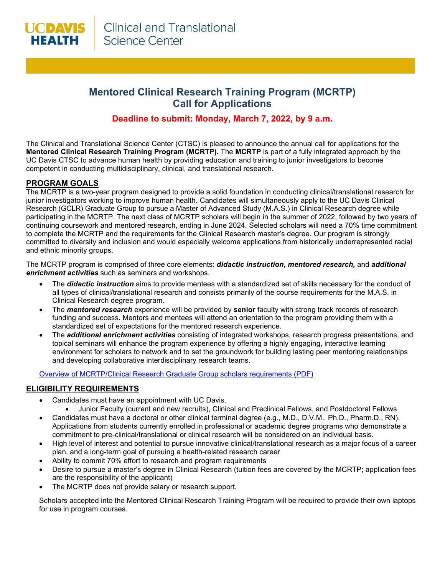

# **Mentored Clinical Research Training Program (MCRTP) Call for Applications**

## **Deadline to submit: Monday, March 7, 2022, by 9 a.m.**

The Clinical and Translational Science Center (CTSC) is pleased to announce the annual call for applications for the **Mentored Clinical Research Training Program (MCRTP).** The **MCRTP** is part of a fully integrated approach by the UC Davis CTSC to advance human health by providing education and training to junior investigators to become competent in conducting multidisciplinary, clinical, and translational research.

### **PROGRAM GOALS**

The MCRTP is a two-year program designed to provide a solid foundation in conducting clinical/translational research for junior investigators working to improve human health. Candidates will simultaneously apply to the UC Davis Clinical Research (GCLR) Graduate Group to pursue a Master of Advanced Study (M.A.S.) in Clinical Research degree while participating in the MCRTP. The next class of MCRTP scholars will begin in the summer of 2022, followed by two years of continuing coursework and mentored research, ending in June 2024. Selected scholars will need a 70% time commitment to complete the MCRTP and the requirements for the Clinical Research master's degree. Our program is strongly committed to diversity and inclusion and would especially welcome applications from historically underrepresented racial and ethnic minority groups.

The MCRTP program is comprised of three core elements: *didactic instruction***,** *mentored research,* and *additional enrichment activities* such as seminars and workshops.

- The *didactic instruction* aims to provide mentees with a standardized set of skills necessary for the conduct of all types of clinical/translational research and consists primarily of the course requirements for the M.A.S. in Clinical Research degree program.
- The *mentored research* experience will be provided by **senior** faculty with strong track records of research funding and success. Mentors and mentees will attend an orientation to the program providing them with a standardized set of expectations for the mentored research experience.
- The *additional enrichment activities* consisting of integrated workshops, research progress presentations, and topical seminars will enhance the program experience by offering a highly engaging, interactive learning environment for scholars to network and to set the groundwork for building lasting peer mentoring relationships and developing collaborative interdisciplinary research teams.

[Overview of MCRTP/Clinical Research Graduate Group scholars requirements \(PDF\)](https://health.ucdavis.edu/ctsc/area/education/mcrtp/documents/MCRTP-and-Grad-Requirements.pdf)

## **ELIGIBILITY REQUIREMENTS**

- Candidates must have an appointment with UC Davis.
	- Junior Faculty (current and new recruits), Clinical and Preclinical Fellows, and Postdoctoral Fellows
- Candidates must have a doctoral or other clinical terminal degree (e.g., M.D., D.V.M., Ph.D., Pharm.D., RN). Applications from students currently enrolled in professional or academic degree programs who demonstrate a commitment to pre-clinical/translational or clinical research will be considered on an individual basis.
- High level of interest and potential to pursue innovative clinical/translational research as a major focus of a career plan, and a long-term goal of pursuing a health-related research career
- Ability to commit 70% effort to research and program requirements
- Desire to pursue a master's degree in Clinical Research (tuition fees are covered by the MCRTP; application fees are the responsibility of the applicant)
- The MCRTP does not provide salary or research support.

Scholars accepted into the Mentored Clinical Research Training Program will be required to provide their own laptops for use in program courses.